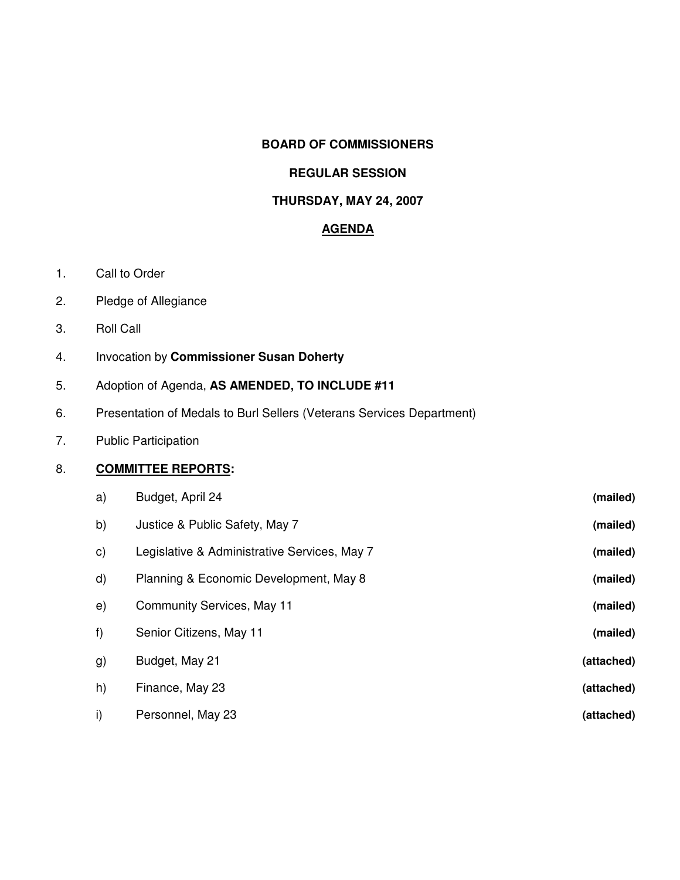## **BOARD OF COMMISSIONERS**

# **REGULAR SESSION**

## **THURSDAY, MAY 24, 2007**

### **AGENDA**

- 1. Call to Order
- 2. Pledge of Allegiance
- 3. Roll Call
- 4. Invocation by **Commissioner Susan Doherty**
- 5. Adoption of Agenda, **AS AMENDED, TO INCLUDE #11**
- 6. Presentation of Medals to Burl Sellers (Veterans Services Department)
- 7. Public Participation

# 8. **COMMITTEE REPORTS:**

| a)           | Budget, April 24                             | (mailed)   |
|--------------|----------------------------------------------|------------|
| b)           | Justice & Public Safety, May 7               | (mailed)   |
| $\mathbf{C}$ | Legislative & Administrative Services, May 7 | (mailed)   |
| $\mathsf{d}$ | Planning & Economic Development, May 8       | (mailed)   |
| e)           | <b>Community Services, May 11</b>            | (mailed)   |
| f)           | Senior Citizens, May 11                      | (mailed)   |
| g)           | Budget, May 21                               | (attached) |
| h)           | Finance, May 23                              | (attached) |
| i)           | Personnel, May 23                            | (attached) |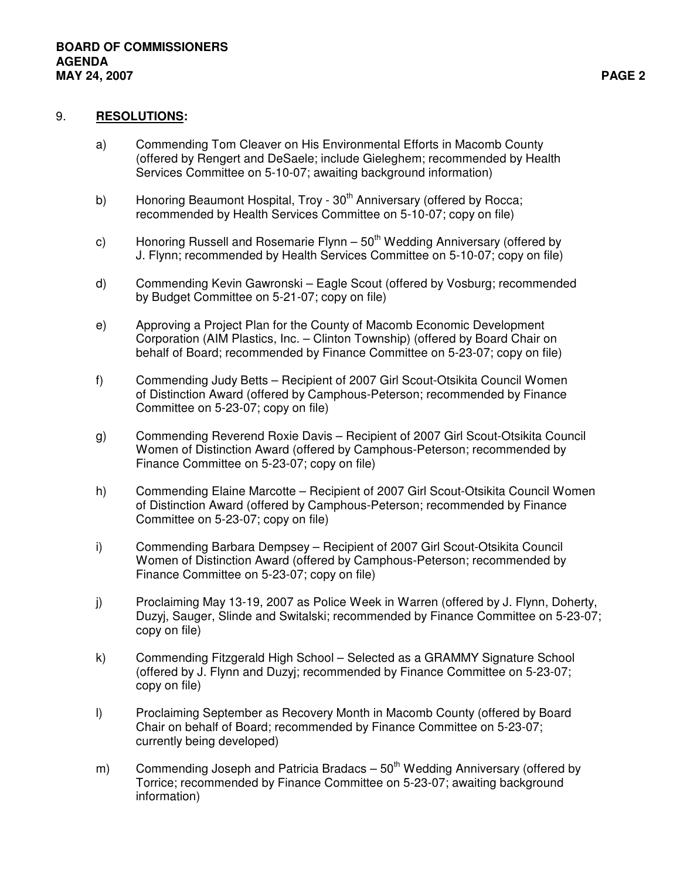#### 9. **RESOLUTIONS:**

- a) Commending Tom Cleaver on His Environmental Efforts in Macomb County (offered by Rengert and DeSaele; include Gieleghem; recommended by Health Services Committee on 5-10-07; awaiting background information)
- b) Honoring Beaumont Hospital, Troy 30<sup>th</sup> Anniversary (offered by Rocca; recommended by Health Services Committee on 5-10-07; copy on file)
- c) Honoring Russell and Rosemarie Flynn 50<sup>th</sup> Wedding Anniversary (offered by J. Flynn; recommended by Health Services Committee on 5-10-07; copy on file)
- d) Commending Kevin Gawronski Eagle Scout (offered by Vosburg; recommended by Budget Committee on 5-21-07; copy on file)
- e) Approving a Project Plan for the County of Macomb Economic Development Corporation (AIM Plastics, Inc. – Clinton Township) (offered by Board Chair on behalf of Board; recommended by Finance Committee on 5-23-07; copy on file)
- f) Commending Judy Betts Recipient of 2007 Girl Scout-Otsikita Council Women of Distinction Award (offered by Camphous-Peterson; recommended by Finance Committee on 5-23-07; copy on file)
- g) Commending Reverend Roxie Davis Recipient of 2007 Girl Scout-Otsikita Council Women of Distinction Award (offered by Camphous-Peterson; recommended by Finance Committee on 5-23-07; copy on file)
- h) Commending Elaine Marcotte Recipient of 2007 Girl Scout-Otsikita Council Women of Distinction Award (offered by Camphous-Peterson; recommended by Finance Committee on 5-23-07; copy on file)
- i) Commending Barbara Dempsey Recipient of 2007 Girl Scout-Otsikita Council Women of Distinction Award (offered by Camphous-Peterson; recommended by Finance Committee on 5-23-07; copy on file)
- j) Proclaiming May 13-19, 2007 as Police Week in Warren (offered by J. Flynn, Doherty, Duzyj, Sauger, Slinde and Switalski; recommended by Finance Committee on 5-23-07; copy on file)
- k) Commending Fitzgerald High School Selected as a GRAMMY Signature School (offered by J. Flynn and Duzyj; recommended by Finance Committee on 5-23-07; copy on file)
- l) Proclaiming September as Recovery Month in Macomb County (offered by Board Chair on behalf of Board; recommended by Finance Committee on 5-23-07; currently being developed)
- m) Commending Joseph and Patricia Bradacs 50<sup>th</sup> Wedding Anniversary (offered by Torrice; recommended by Finance Committee on 5-23-07; awaiting background information)